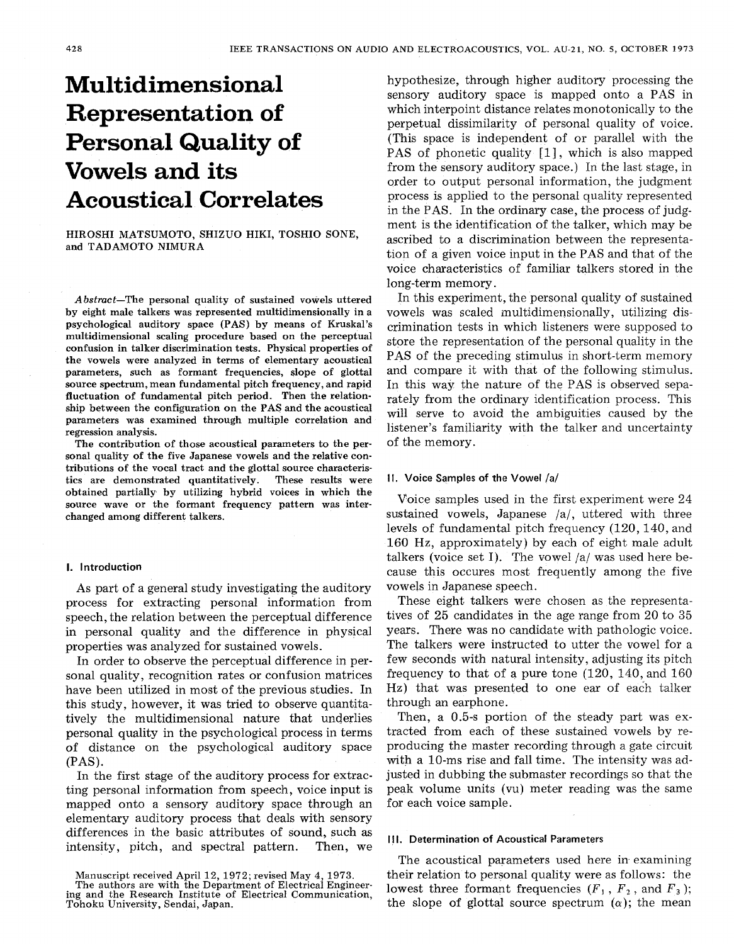# **Multidimensional Representation of Personal Quality of Vowels and its Acoustical Correlates**

HIROSHI MATSUMOTO, SHIZUO HIKI, TOSHIO SONE, and TADAMOTO NIMURA

Abstract-The personal quality of sustained vowels uttered by eight male talkers was represented multidimensionally in a psychological auditory space (PAS) by means of Kruskal's multidimensional scaling procedure based on the perceptual confusion in talker discrimination tests. Physical properties of the vowels were analyzed in terms of elementary acoustical parameters, such as formant frequencies, slope of glottal source spectrum, mean fundamental pitch frequency, and rapid fluctuation of fundamental pitch period. Then the relationship between the configuration on the PAS and the acoustical parameters was examined through multiple correlation and regression analysis.

The contribution of those acoustical parameters to the personal quality of the five Japanese vowels and the relative contributions of the vocal tract and the glottal source characteristics are demonstrated quantitatively. These results were obtained partially. by utilizing hybrid voices in which the source wave or the formant frequency pattern was interchanged among different talkers.

#### **I.** Introduction

**As** part of a general study investigating the auditory process for extracting personal information from speech, the relation between the perceptual difference in personal quality and the difference in physical properties was analyzed for sustained vowels.

In order to observe the perceptual difference in personal quality, recognition rates or confusion matrices have been utilized in most of the previous studies. In this study, however, it was tried to observe quantitatively the multidimensional nature that underlies personal quality in the psychological process in terms of distance on the psychological auditory space **(PAS).** 

In the first stage of the auditory process for extracting personal information from speech, voice input is mapped onto a sensory auditory space through an elementary auditory process that deals with sensory differences in the basic attributes of sound, such as intensity, pitch, and spectral pattern. Then, we

Manuscript received April 12, **1972;** revised May **4, 1973.** 

hypothesize, through higher auditory processing the sensory auditory space is mapped onto a **PAS** in which interpoint distance relates monotonically to the perpetual dissimilarity of personal quality of voice. (This space is independent of or parallel with the PAS of phonetic quality [1], which is also mapped from the sensory auditory space.) In the last stage, in order to output personal information, the judgment process is applied to the personal quality represented in the **PAS.** In the ordinary case, the process of judgment is the identification of the talker, which may be ascribed to a discrimination between the representation of a given voice input in the PAS and that of the voice characteristics of familiar talkers stored in the long-term memory.

In this experiment, the personal quality of sustained vowels was scaled multidimensionally, utilizing discrimination tests in which listeners were supposed to store the representation of the personal quality in the **PAS** of the preceding stimulus in short-term memory and compare it with that of the following stimulus. In this way the nature of the **PAS** is observed separately from the ordinary identification process. This will serve to avoid the ambiguities caused by the listener's familiarity with the talker and uncertainty of the memory.

# **11. Voice Samples of the Vowel /a/**

Voice samples used in the first experiment were 24 sustained vowels, Japanese /a/, uttered with three levels of fundamental pitch frequency (120,140, and 160 Hz, approximately) by each of eight male adult talkers (voice set I). The vowel /a/ was used here because this occures most frequently among the five vowels in Japanese speech.

These eight talkers were chosen as the representatives of 25 candidates in the age range from 20 to *35*  years. There was no candidate with pathologic voice. The talkers were instructed to utter the vowel for a few seconds with natural intensity, adjusting its pitch frequency to that of **a** pure tone (120, 140, and 160 Hz) that was presented to one ear of each talker through an earphone.

Then, a 0.5-s portion of the steady part was extracted from each of these sustained vowels by reproducing the master recording through a gate circuit with a 10-ms rise and fall time. The intensity was adjusted in dubbing the submaster recordings so that the peak volume units (vu) meter reading was the same for each voice sample.

### **Ill.** Determination **of** Acoustical Parameters

The acoustical parameters used here in examining their relation to personal quality were as follows: the lowest three formant frequencies  $(F_1, F_2, \text{ and } F_3)$ ; the slope of glottal source spectrum  $(\alpha)$ ; the mean

ing and the Research Institute of Electrical Communication, The authors are with the Department of Electrical Engineer-Tohoku University, Sendai, Japan.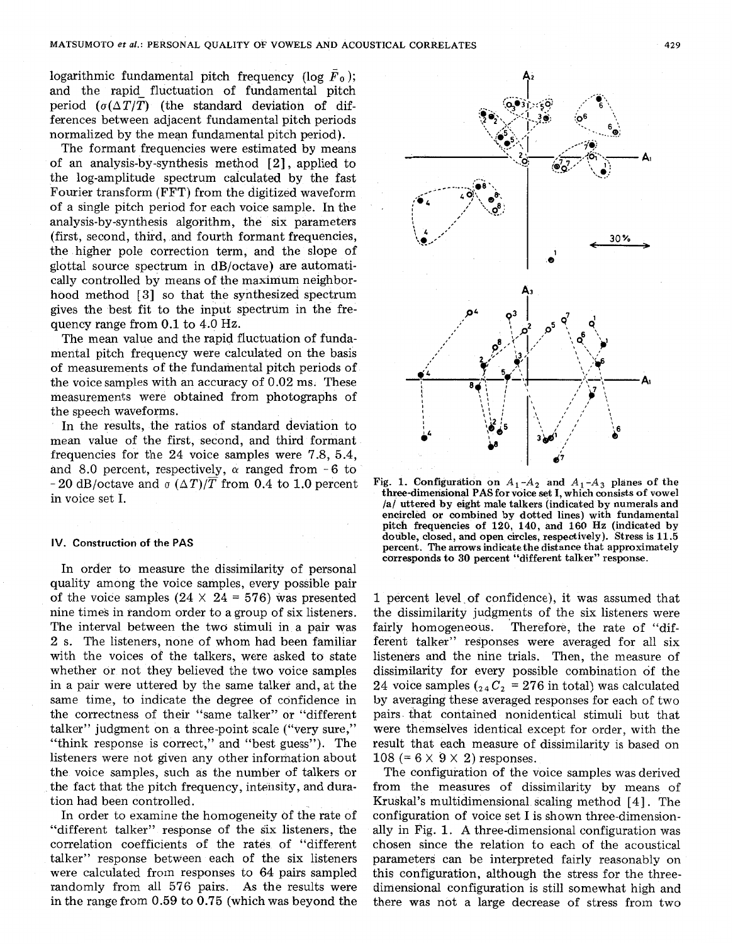logarithmic fundamental pitch frequency (log  $\bar{F}_0$ ); and the rapid fluctuation of fundamental pitch period  $(\sigma(\Delta T/T))$  (the standard deviation of differences between adjacent fundamental pitch periods normalized by the mean fundamental pitch period).

The formant frequencies were estimated by means of an analysis-by-synthesis method [2], applied to the log-amplitude spectrum calcuiated by the fast Fourier transform (FFT) from the digitized waveform of a single pitch period for each voice sample. In the analysis-by-synthesis algorithm, the six parameters (first, second, third, and fourth formant frequencies, the higher pole correction term, and the slope of glottal source spectrum in dB/octave) are automatically controlled by means of the maximum neighborhood method **[3]** so that the synthesized spectrum gives the best fit to the input spectrum in the frequency range from **0.1** to 4.0 Hz.

The mean value and the rapid fluctuation of fundamental pitch frequency were calculated on the basis of measurements of the fundamental pitch periods of the voice samples with an accuracy of 0.02 ms. These measurements were obtained from photographs of the speech waveforms.

In the results, the ratios of standard deviation to mean value of the first, second, and third formant frequencies for the 24 voice samples were 7.8, 5.4, and 8.0 percent, respectively,  $\alpha$  ranged from -6 to  $-20$  dB/octave and  $\sigma$  ( $\Delta T$ )/ $\overline{T}$  from 0.4 to 1.0 percent in voice set I.

#### **IV. Construction of the PAS**

In order to measure the dissimilarity of personal quality among the voice samples, every possible pair of the voice samples  $(24 \times 24 = 576)$  was presented nine times in random order to a group of six listeners. The interval between the two stimuli in a pair was 2 s. The listeners, none of whom had been familiar with the voices of the talkers, were asked to state whether or not they believed the two voice samples in a pair were uttered by the same talker and, at the same time, to indicate the degree of confidence in the correctness of their "same talker" or "different talker" judgment on a three-point scale ("very sure," "think response is correct," and "best guess"). The listeners were not given any other information about the voice samples, such as the number of talkers or the fact that the pitch frequency, intensity, and duration had been controlled.

In order to examine the homogeneity of the rate of "different talker" response of the six listeners, the correlation coefficients of the rates of "different talker" response between each of the six listeners were calculated from responses to 64 pairs sampled randomly from all 576 pairs. As the results were in the range from 0.59 to **0.75** (which was beyond the



Fig. 1. Configuration on  $A_1 - A_2$  and  $A_1 - A_3$  planes of the **three-dimensional PAS for voice et I, which consists of vowel /a/ uttered by eight male talkers (indicated by numerals and encircled or combined by dotted lines) with fundamental pitch frequencies of 120, 140, and 160 Hz (indicated by double, closed, and open circles, respectively). Stress is 11.5 percent. The arrows indicate the distance that approximately corresponds to 30 percent "different talker" response.** 

1 percenk level. of confidence), it was assumed that the dissimilarity judgments of the six listeners were .. fairly homogeneous. Therefore, the rate of "different talker" responses were averaged for all six listeners and the nine trials. Then, the measure of dissimilarity for every possible combination of the 24 voice samples  $\binom{24}{2}$  **c**<sub>2</sub> = 276 in total) was calculated by averaging these averaged responses for each of two pairs. that contained nonidentical stimuli but that were themselves identical except for order, with the result that each measure of dissimilarity is based on 108 (=  $6 \times 9 \times 2$ ) responses.

The configuration of the voice samples was derived from the measures of dissimilarity by means of Kruskal's multidimensional scaling method [4] . The configuration of voice set I is shown three-dimensionally in Fig. 1. **A** three-dimensional configuration was chosen since the relation to each of the acoustical parameters can be interpreted fairly reasonably on this configuration, although the stress for the threedimensional configuration is still somewhat high and there was not a large decrease of stress from two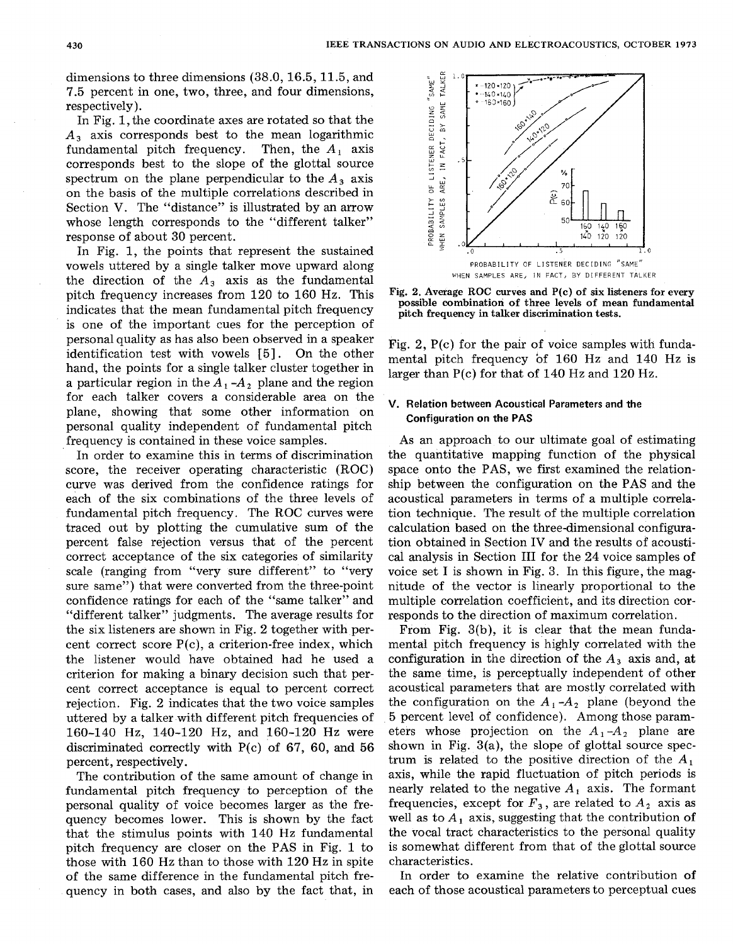dimensions to three dimensions (38.0,16.5,11.5, and 7.5 percent in one, two, three, and four dimensions, respectively).

In Fig. 1, the coordinate axes are rotated so that the *A3* axis corresponds best to the mean logarithmic fundamental pitch frequency. Then, the *A,* axis corresponds best to the slope of the glottal source spectrum on the plane perpendicular to the  $A_3$  axis on the basis of the multiple correlations described in Section V. The "distance" is illustrated by an arrow whose length corresponds to the "different talker" response of about **30** percent.

In Fig. 1, the points that represent the sustained vowels uttered by a single talker move upward along the direction of the  $A_3$  axis as the fundamental pitch frequency increases from 120 to 160 **Hz.** This indicates that the mean fundamental pitch frequency is one of the important cues for the perception of personal quality as has also been observed in a speaker identification test with vowels [5]. On the other hand, the points for a single talker cluster together in a particular region in the  $A_1 - A_2$  plane and the region for each talker covers a considerable area on the plane, showing that some other information on personal quality independent of fundamental pitch frequency is contained in these voice samples.

In order to examine this in terms of discrimination score, the receiver operating characteristic (ROC) curve was derived from the confidence ratings for each of the six combinations of the three levels of fundamental pitch frequency. The ROC curves were traced out by plotting the cumulative sum of the percent false rejection versus that of the percent correct acceptance of the six categories of similarity scale (ranging from "very sure different" to "very sure same") that were converted from the three-point confidence ratings for each of the "same talker" and "different talker" judgments. The average results for the six listeners are shown in Fig. 2 together with percent correct score P(c), a criterion-free index, which the listener would have obtained had he used a criterion for making a binary decision such that percent correct acceptance is equal to percent correct rejection. Fig. 2 indicates that the two voice samples uttered by a talker with different pitch frequencies of 160-140 **Hz,** 140-120 **Hz,** and 160-120 **Hz** were discriminated correctly with  $P(c)$  of 67, 60, and 56 percent, respectively.

The contribution of the same amount of change in fundamental pitch frequency to perception of the personal quality of voice becomes larger as the frequency becomes lower. This is shown by the fact that the stimulus points with 140 **Hz** fundamental pitch frequency are closer on the PAS in Fig. 1 to those with 160 **Hz** than to those with 120 **Hz** in spite of the same difference in the fundamental pitch frequency in both cases, and also by the fact that, in



**Fig. 2. Average ROC curves and P(c) of six listeners for every possible combination of three levels of mean fundamental pitch frequency in talker discrimination tests.** 

Fig. 2, P(c) for the pair of voice samples with fundamental pitch frequency bf 160 **Hz** and 140 **Hz** is larger than P(c) for that of **140 Hz** and 120 **Hz.** 

# **V. Relation between Acoustical Parameters and the Configuration on the PAS**

**As** an approach to our ultimate goal of estimating the quantitative mapping function of the physical space onto the PAS, we first examined the relationship between the configuration on the PAS and the acoustical parameters in terms of a multiple correlation technique. The result of the multiple correlation calculation based on the three-dimensional configuration obtained in Section IV and the results of acoustical analysis in Section I11 for the 24 voice samples of voice set I is shown in Fig. **3.** In this figure, the magnitude of the vector is linearly proportional to the multiple correlation coefficient, and its direction corresponds to the direction of maximum correlation.

From Fig. **3(b),** it is clear that the mean fundamental pitch frequency is highly correlated with the configuration in the direction of the *A3* axis and, at the same time, is perceptually independent of other acoustical parameters that are mostly correlated with the configuration on the  $A_1 - A_2$  plane (beyond the 5 percent level of confidence). Among those parameters whose projection on the  $A_1 - A_2$  plane are shown in Fig, **3(a),** the slope of glottal source spectrum is related to the positive direction of the  $A_1$ axis, while the rapid fluctuation of pitch periods is nearly related to the negative  $A_1$  axis. The formant frequencies, except for  $F_3$ , are related to  $A_2$  axis as well as to  $A_1$  axis, suggesting that the contribution of the vocal tract characteristics to the personal quality is somewhat different from that of the glottal source characteristics.

In order to examine the relative contribution of each of those acoustical parameters to perceptual cues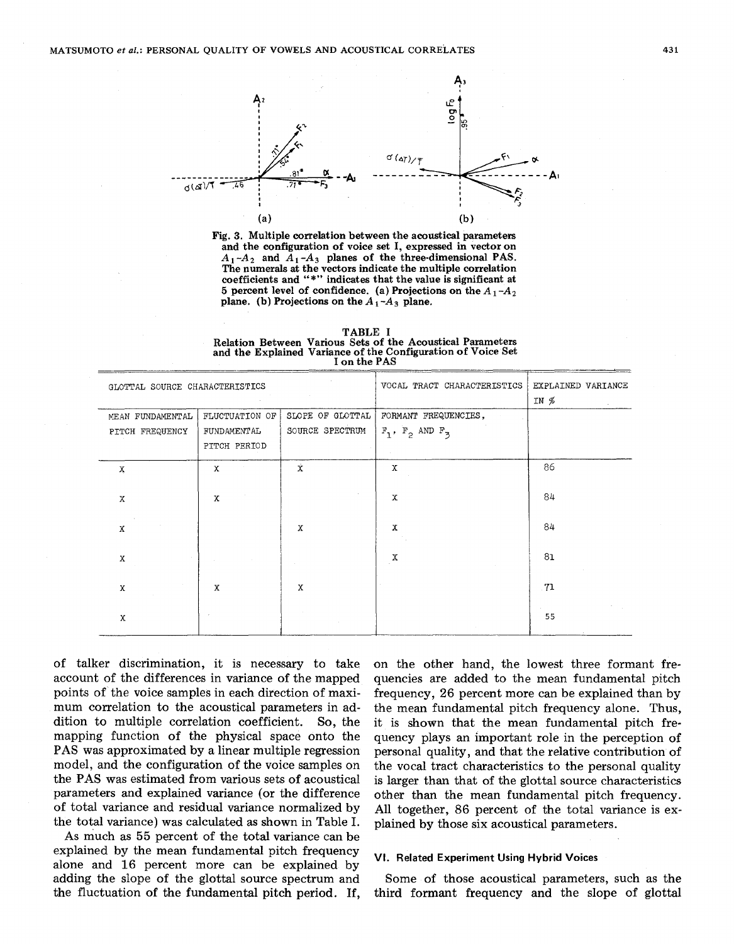



**TABLE I and the Explained Variance of the Configuration of Voice Set**<br> **i** on the PAS **Relation Between Various Sets of the Acoustical Parameters I on the PAS** 

| GLOTTAL SOURCE CHARACTERISTICS      |                                               |                                     | VOCAL TRACT CHARACTERISTICS                     | EXPLAINED VARIANCE<br>IN % |  |  |
|-------------------------------------|-----------------------------------------------|-------------------------------------|-------------------------------------------------|----------------------------|--|--|
| MEAN FUNDAMENTAL<br>PITCH FREQUENCY | FLUCTUATION OF<br>FUNDAMENTAL<br>PITCH PERIOD | SLOPE OF GLOTTAL<br>SOURCE SPECTRUM | FORMANT FREQUENCIES,<br>$F_1$ , $F_2$ AND $F_3$ |                            |  |  |
| X                                   | x                                             | Ŷ.                                  | Х                                               | 86                         |  |  |
| X                                   | $\mathbf{x}$                                  |                                     | X                                               | 84                         |  |  |
| X                                   |                                               | X                                   | X                                               | 84                         |  |  |
| X                                   |                                               |                                     | Х                                               | 81                         |  |  |
| X                                   | $\mathbf x$                                   | X                                   |                                                 | -71                        |  |  |
| X                                   |                                               |                                     |                                                 | 55                         |  |  |

of talker discrimination, it is necessary to take account of the differences in variance of the mapped points of the voice samples in each direction of maximum correlation to the acoustical parameters in addition to multiple correlation coefficient. So, the mapping function of the physical space onto the **PAS** was approximated by a linear multiple regression model, and the configuration of the voice samples on the **PAS** was estimated from various sets of acoustical parameters and explained variance (or the difference of total variance and residual variance normalized by the total variance) was calculated as shown in Table I.

**As** much **as 55** percent of the total variance can be explained by the mean fundamental pitch frequency alone and 16 percent more can be explained by adding the slope of the glottal source spectrum and the fluctuation of the fundamental pitch period. If, on the other hand, the lowest three formant frequencies are added to the mean fundamental pitch frequency, **26** percent more can be explained than by the mean fundamental pitch frequency alone. Thus, it is shown that the mean fundamental pitch frequency plays an important role in the perception of personal quality, and that the relative contribution of the vocal tract characteristics to the personal quality is larger than that of the glottal source characteristics other than the mean fundamental pitch frequency. All together, 86 percent of the total variance is explained by those six acoustical parameters.

#### **VI. Related Experiment Using Hybrid Voices**

Some of those acoustical parameters, such as the third formant frequency and the slope of glottal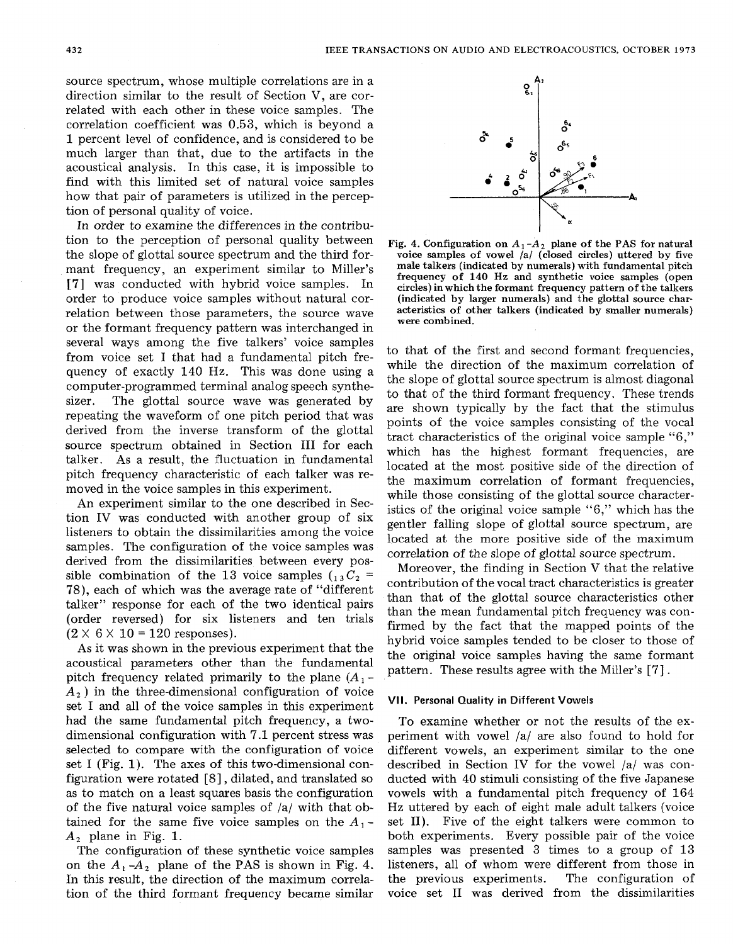source spectrum, whose multiple correlations are in a direction similar to the result of Section **V,** are correlated with each other in these voice samples. The correlation coefficient was 0.53, which is beyond a 1 percent level of confidence, and is considered to be much larger than that, due to the artifacts in the acoustical analysis. In this case, it is impossible to find with this limited set of natural voice samples how that pair of parameters is utilized in the perception of personal quality of voice.

In order to examine the differences in the contribution to the perception of personal quality between the slope of glottal source spectrum and the third formant frequency, an experiment similar to Miller's **[7]** was conducted with hybrid voice samples. In order to produce voice samples without natural correlation between those parameters, the source wave or the formant frequency pattern was interchanged in several ways among the five talkers' voice samples from voice set I that had a fundamental pitch frequency of exactly **140** Hz. This was done using a computer-programmed terminal analog speech synthesizer. The glottal source wave was generated by repeating the waveform of one pitch period that was derived from the inverse transform of the glottal source spectrum obtained in Section **I11** for each talker. As a result, the fluctuation in fundamental pitch frequency characteristic of each talker was removed in the voice samples in this experiment.

An experiment similar to the one described in Section **IV** was conducted with another group of six listeners to obtain the dissimilarities among the voice samples. The configuration of the voice samples was derived from the dissimilarities between every possible combination of the 13 voice samples  $C_1 \, S_2$  = **78),** each of which was the average rate of "different talker" response for each of the two identical pairs (order reversed) for six listeners and ten trials  $(2 \times 6 \times 10 = 120$  responses).

As it was shown in the previous experiment that the acoustical parameters other than the fundamental pitch frequency related primarily to the plane  $(A_1 -$ *A,* ) in the three-dimensional configuration of voice set I and all of the voice samples in this experiment had the same fundamental pitch frequency, a twodimensional configuration with **7.1** percent stress was selected to compare with the configuration of voice set I (Fig. 1). The axes of this two-dimensional configuration were rotated [8], dilated, and translated so as to match on a least squares basis the configuration of the five natural voice samples of /a/ with that obtained for the same five voice samples on the  $A_1$ -*A,* plane in Fig. 1.

The configuration of these synthetic voice samples on the  $A_1$ - $A_2$  plane of the PAS is shown in Fig. 4. In this result, the direction of the maximum correlation of the third formant frequency became similar



Fig. 4. Configuration on  $A_1 - A_2$  plane of the PAS for natural **voice samples of vowel /a/ (closed circles) uttered by five male talkers (indicated by numerals) with fundamental pitch frequency of 140 Hz and synthetic voice samples (open circles) in which the formant frequency pattern of the talkers (indicated by larger numerals) and the glottal source characteristics of other talkers (indicated by smaller numerals) were combined.** 

to that of the first and second formant frequencies, while the direction of the maximum correlation of the slope of glottal source spectrum is almost diagonal to that of the third formant frequency, These trends are shown typically by the fact that the stimulus points of the voice samples consisting of the vocal tract characteristics of the original voice sample **"6,"**  which has the highest formant frequencies, are located at the most positive side of the direction of the maximum correlation of formant frequencies, while those consisting of the glottal source characteristics of the original voice sample **"6,"** which has the gentler falling slope of glottal source spectrum, are located at the more positive side of the maximum correlation of the slope of glottal source spectrum.

Moreover, the finding in Section **V** that the relative contribution of the vocal tract characteristics is greater than that of the glottal source characteristics other than the mean fundamental pitch frequency was confirmed by the fact that the mapped points of the hybrid voice samples tended to be closer to those of the original voice samples having the same formant pattern. These results agree with the Miller's **[7]** .

# **VII. Personal Quality in Different Vowels**

To examine whether or not the results of the experiment with vowel /a/ are also found to hold for different vowels, an experiment similar to the one described in Section **IV** for the vowel /a/ was conducted with **40** stimuli consisting of the five Japanese vowels with a fundamental pitch frequency of **164**  Hz uttered by each of eight male adult talkers (voice set 11). Five of the eight talkers were common to both experiments. Every possible pair of the voice samples was presented **3** times to a group of **13**  listeners, all of whom were different from those in the previous experiments. The configuration of voice set I1 was derived from the dissimilarities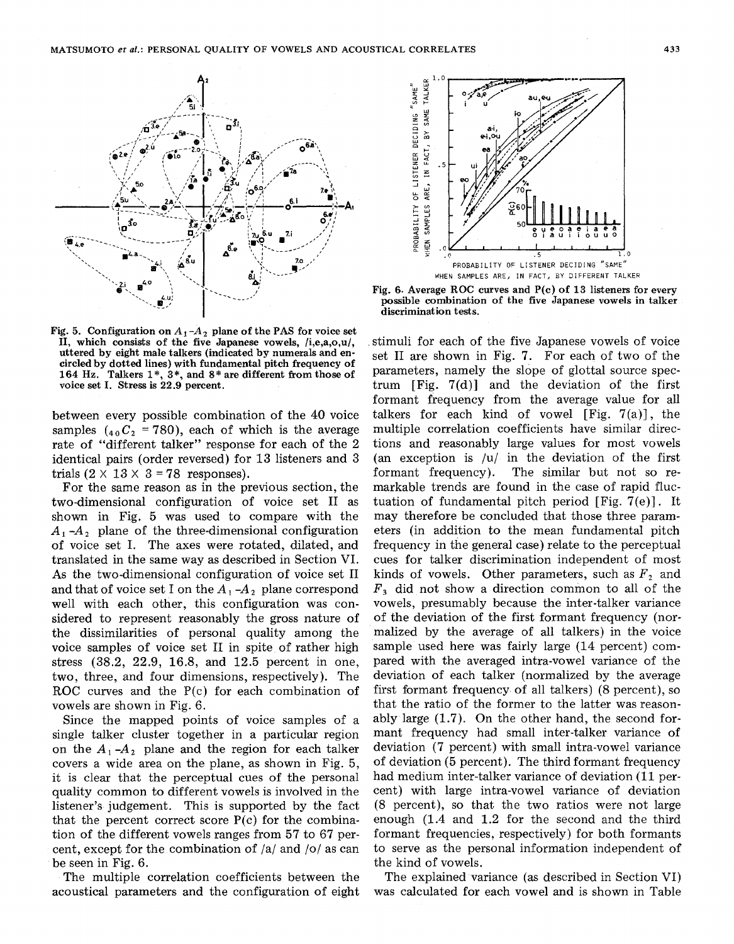

**Fig. 5. Configuration on**  $A_1 - A_2$  **plane of the PAS for voice set 11, which consists of the five Japanese vowels, /i,e,a,o,u/,**  circled by dotted lines) with fundamental pitch frequency of **164 Hz. Talkers 1** \*, **3\*, and** *8"* **are different from those of voice set I. Stress is 22.9 percent.** 

between every possible combination of the 40 voice samples  $(40C_2 = 780)$ , each of which is the average rate of "different talker" response for each of the 2 identical pairs (order reversed) for 13 listeners and **3**  trials  $(2 \times 13 \times 3 = 78$  responses).

For the same reason as in the previous section, the two-dimensional configuration of voice set I1 as shown in Fig. 5 was used to compare with the  $A_1 - A_2$  plane of the three-dimensional configuration of voice set I. The axes were rotated, dilated, and translated in the same way as described in Section VI. **As** the two-dimensional configuration of voice set I1 and that of voice set I on the  $A_1 - A_2$  plane correspond well with each other, this configuration was considered to represent reasonably the gross nature of the dissimilarities of personal quality among the voice samples of voice set I1 in spite of rather high stress (38.2, 22.9, 16.8, and 12.5 percent in one, two, three, and four dimensions, respectively). The ROC curves and the P(c) for each combination of vowels are shown in Fig. 6.

Since the mapped points of voice samples of a single talker cluster together in a particular region on the  $A_1 - A_2$  plane and the region for each talker covers a wide area on the plane, as shown in Fig. **5,**  it is clear that the perceptual cues of the personal quality common to different vowels is involved in the listener's judgement. This is supported by the fact that the percent correct score  $P(c)$  for the combination of the different vowels ranges from 57 to 67 percent, except for the combination of /a/ and *lo/* as can be seen in Fig. 6.

The multiple correlation coefficients between the acoustical parameters and the configuration of eight



**Fig. 6. Average ROC curves and P(c) of 13 listeners for every possible combination of the five Japanese vowels in talker discrimination tests.** 

stimuli for each of the five Japanese vowels of voice set I1 are shown in Fig. **7.** For each of two of the parameters, namely the slope of glottal source spectrum [Fig. 7(d)] and the deviation of the first formant frequency from the average value for all talkers for each kind of vowel  $[Fig. 7(a)]$ , the multiple correlation coefficients have similar directions and reasonably large values for most vowels (an exception is  $|u|$  in the deviation of the first formant frequency). The similar but not so remarkable trends are found in the case of rapid fluctuation of fundamental pitch period [Fig. 7(e)]. It may therefore be concluded that those three parameters (in addition to the mean fundamental pitch frequency in the general case) relate to the perceptual cues for talker discrimination independent of most kinds of vowels. Other parameters, such as  $F_2$  and  $F<sub>3</sub>$  did not show a direction common to all of the vowels, presumably because the inter-talker variance of the deviation of the first formant frequency (normalized by the average of all talkers) in the voice sample used here was fairly large (14 percent) compared with the averaged intra-vowel variance of the deviation of each talker (normalized by the average first formant frequency of all talkers) (8 percent), so that the ratio of the former to the latter was reasonably large (1.7). On the other hand, the second formant frequency had small inter-talker variance of deviation (7 percent) with small intra-vowel variance of deviation (5 percent). The third formant frequency had medium inter-talker variance of deviation (11 percent) with large intra-vowel variance of deviation (8 percent), so that the two ratios were not large enough (1.4 and 1.2 for the second and the third formant frequencies, respectively) for both formants to serve as the personal information independent of the kind of vowels.

The explained variance (as described in Section VI) was calculated for each vowel and is shown in Table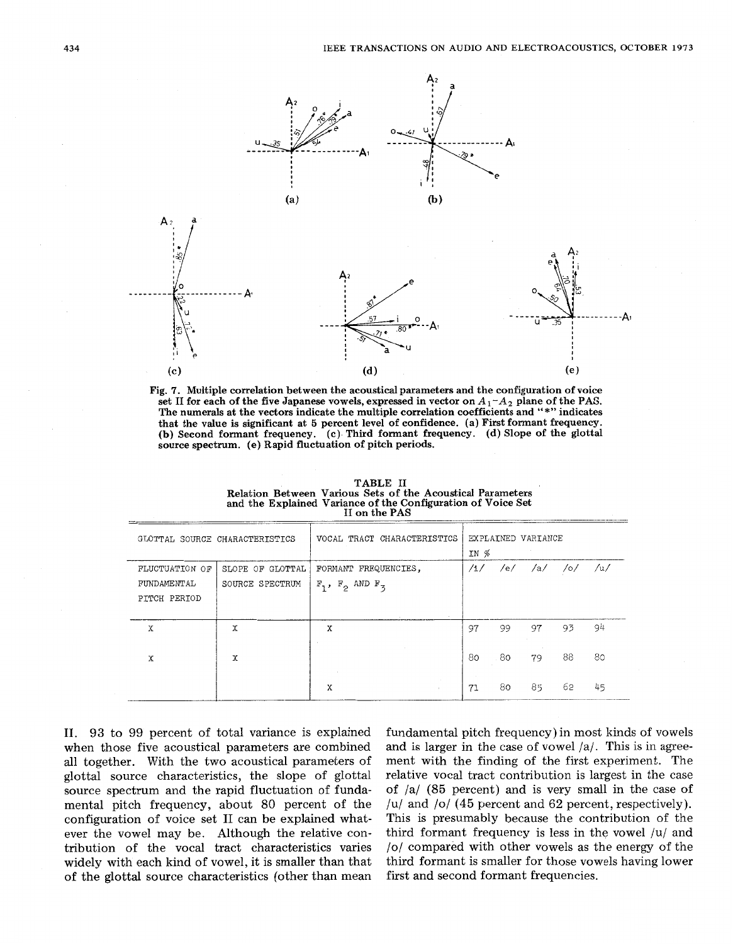



| II on the PAS                                 |                                     |                                                 |                            |    |    |                   |    |  |  |  |
|-----------------------------------------------|-------------------------------------|-------------------------------------------------|----------------------------|----|----|-------------------|----|--|--|--|
| GLOTTAL SOURCE CHARACTERISTICS                |                                     | VOCAL TRACT CHARACTERISTICS                     | EXPLAINED VARIANCE<br>IN % |    |    |                   |    |  |  |  |
| FLUCTUATION OF<br>FUNDAMENTAL<br>PITCH PERIOD | SLOPE OF GLOTTAL<br>SOURCE SPECTRUM | FORMANT FREQUENCIES,<br>$F_1$ , $F_2$ AND $F_3$ | /1/                        |    |    | $/e/$ /a/ /o/ /u/ |    |  |  |  |
| X                                             | х                                   | X                                               | 97                         | 99 | 97 | 93                | 94 |  |  |  |
| X                                             | x                                   |                                                 | 80                         | 80 | 79 | 88                | 80 |  |  |  |
|                                               |                                     | χ                                               | 71                         | 80 | 85 | 62                | 45 |  |  |  |

TABLE **I1**  Relation Between Various Sets of the Acoustical Parameters and the Explained Variance of the Configuration of Voice Set

**11. 93** to 99 percent of total variance is explained when those five acoustical parameters are combined all together. With the two acoustical parameters of glottal source characteristics, the slope of glottal source spectrum and the rapid fluctuation of fundamental pitch frequency, about 80 percent of the configuration of voice set I1 can be explained whatever the vowel may be. Although the relative contribution of the vocal tract characteristics varies widely with each kind of vowel, it is smaller than that of the glottal source characteristics (other than mean fundamental pitch frequency) in most kinds of vowels and is larger in the case of vowel **/a/.** This is in agreement with the finding of the first experiment. The relative vocal tract contribution is largest in the case of /a/ (85 percent) and is very small in the case of /u/ and *lo/* **(45** percent and 62 percent, respectively). This is presumably because the contribution of the third formant frequency is less in the vowel  $|u|$  and *lo/* compared with other vowels as the energy of the third formant is smaller for those vowels having lower first and second formant frequencies.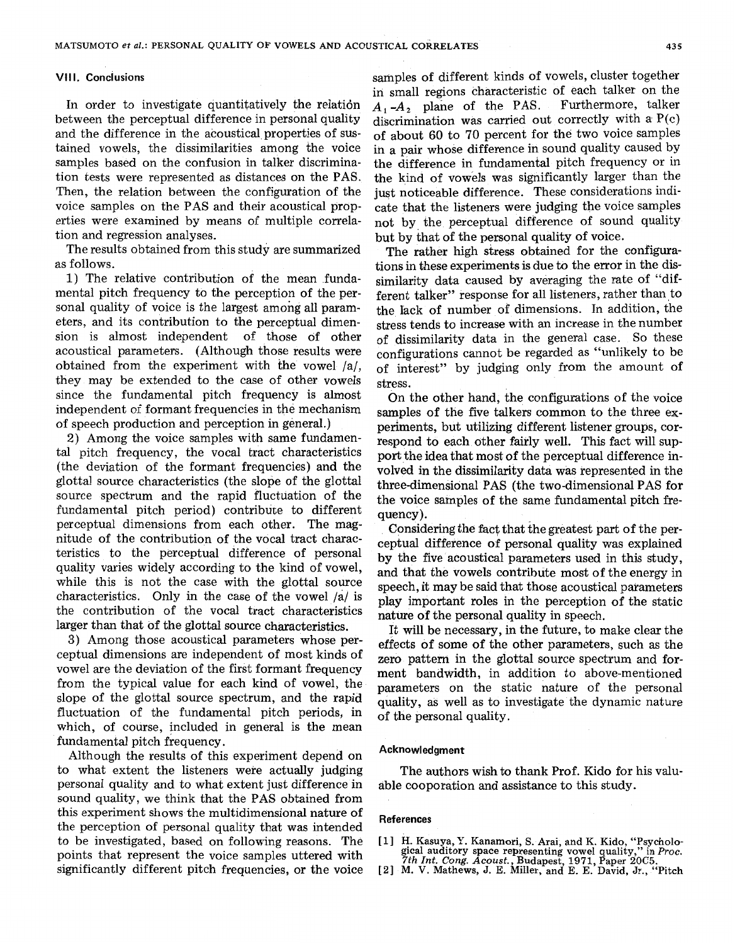## **VIII. Conclusions**

In order to investigate quantitatively the relatidn between the perceptual difference in personal quality and the difference in the acoustical properties of sustained vowels, the dissimilarities among the voice samples based on the confusion in talker discrimination tests were represented as distances on the PAS. Then, the relation between the configuration of the voice samples on the PAS and their acoustical properties were examined by means of multiple correlation and regression analyses.

The results obtained from this study are summarized as follows.

1) The relative contribution of the mean fundamental pitch frequency to the perception of the personal quality of voice is the largest among all parameters, and its contribution to the perceptual dimension is almost independent of those of other acoustical parameters. (Although those results were obtained from the experiment with the vowel /a/, they may be extended to the case of other vowels since the fundamental pitch frequency is almost independent of formant frequencies in the mechanism of speech production and perception in general.)

2) Among the voice samples with same fundamental pitch frequency, the vocal tract characteristics (the deviation of the formant frequencies) and the glottal source characteristics (the slope of the glottal source spectrum and the rapid fluctuation of the fundamental pitch period) contribute to different perceptual dimensions from each other. The magnitude of the contribution of the vocal tract characteristics to the perceptual difference of personal quality varies widely according to the kind of vowel, while this is not the case with the glottal source characteristics. Only in the case of the vowel **/a/** is the contribution of the vocal tract characteristics larger than that of the glottal source characteristics.

**3)** Among those acoustical parameters whose perceptual dimensions are independent of most kinds of vowel are the deviation of the first formant frequency from the typical value for each kind of vowel, the slope of the glottal source spectrum, and the rapid fluctuation of the fundamental pitch periods, in which, of course, included in general is the mean fundamental pitch frequency.

Although the results of this experiment depend on to what extent the listeners were actually judging personal quality and to what extent just difference in sound quality, we think that the PAS obtained from this experiment shows the multidimensional nature of the perception of personal quality that was intended to be investigated, based on following reasons. The points that represent the voice samples uttered with significantly different pitch frequencies, or the voice samples of different kinds of vowels, cluster together in small regions characteristic of each talker on the  $A_1 - A_2$  plane of the PAS. Furthermore, talker  $A_1 - A_2$  plane of the PAS. discrimination was carried out correctly with **a** P(c) of about **60** to 70 percent for the two voice samples in a pair whose difference in sound quality caused by the difference in fundamental pitch frequency or in the kind of vowels was significantly larger than the just noticeable difference. These considerations indicate that the listeners were judging the voice samples not by the perceptual difference of sound quality but by that of the personal quality of voice.

The rather high stress obtained for the configurations in these experiments is due to the error in the dissimilarity data caused by averaging the rate of "different talker" response for all listeners, rather than to the Iack of number of dimensions. In addition, the stress tends to increase with an increase in the number of dissimilarity data in the general case. So these configurations cannot be regarded as "unlikely to be of interest" by judging only from the amount of stress.

On the other hand, the configurations of the voice samples of the five talkers common to the three experiments, but utilizing different listener groups, correspond to each other fairly well. This fact will support the idea that most of the perceptual difference involved in the dissimilarity data was represented in the three-dimensional PAS (the two-dimensional PAS for the voice samples of the same fundamental pitch frequency).

Considering the fact that the gratest part of the perceptual difference of personal quality was explained by the five acoustical parameters used in this study, and that the vowels contribute most of the energy in speech, it may be said that those acoustical parameters play important roles in the perception of the static nature of the personal quality in speech.

It will be necessary, in the future, to make clear the effects of some of the other parameters, such as the zero pattern in the glottal source spectrum and forment bandwidth, in addition to above-mentioned parameters on the static nature of the personal quality, as well as to investigate the dynamic nature of the personal quality.

# **Acknowledgment**

The authors wish to thank Prof. Kido for his valuable cooporation and assistance to this study.

### **References**

- [ **11** H. **Kasuya, Y. Kanamori, S. Arai, and K. Kido, "pycholo-gical auditory space representing vowel quality, in** *Proc.*
- *7th Int. Cong. Acoust.,* **Budapest, 1971, Paper** *20C5.*  **[2] M. V. Mathews, J.** E. **Miller, and** E. **E. David,** Jr., **"Pitch**